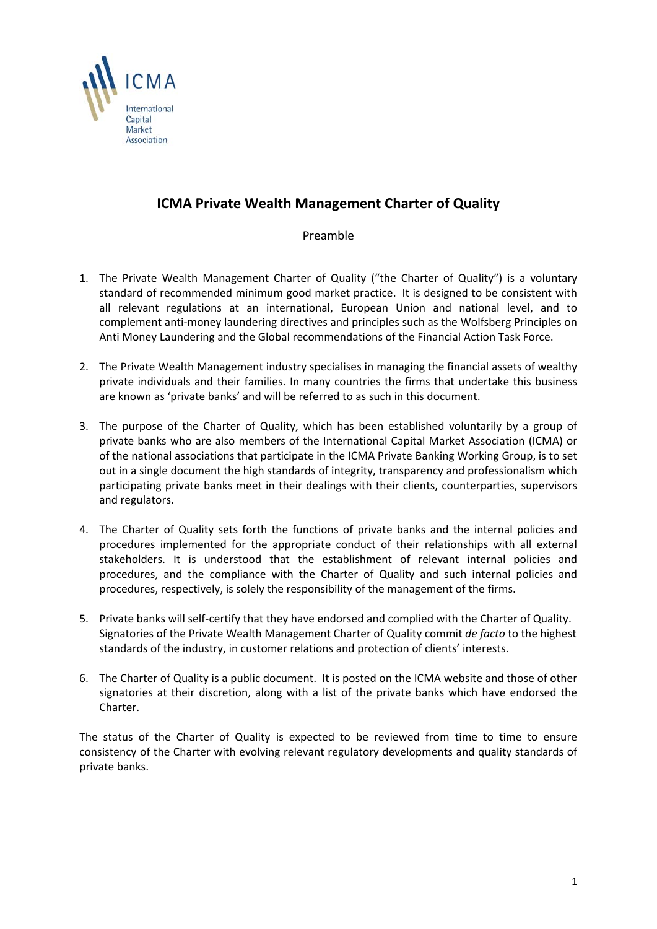

# **ICMA Private Wealth Management Charter of Quality**

# Preamble

- 1. The Private Wealth Management Charter of Quality ("the Charter of Quality") is a voluntary standard of recommended minimum good market practice. It is designed to be consistent with all relevant regulations at an international, European Union and national level, and to complement anti‐money laundering directives and principles such as the Wolfsberg Principles on Anti Money Laundering and the Global recommendations of the Financial Action Task Force.
- 2. The Private Wealth Management industry specialises in managing the financial assets of wealthy private individuals and their families. In many countries the firms that undertake this business are known as 'private banks' and will be referred to as such in this document.
- 3. The purpose of the Charter of Quality, which has been established voluntarily by a group of private banks who are also members of the International Capital Market Association (ICMA) or of the national associations that participate in the ICMA Private Banking Working Group, is to set out in a single document the high standards of integrity, transparency and professionalism which participating private banks meet in their dealings with their clients, counterparties, supervisors and regulators.
- 4. The Charter of Quality sets forth the functions of private banks and the internal policies and procedures implemented for the appropriate conduct of their relationships with all external stakeholders. It is understood that the establishment of relevant internal policies and procedures, and the compliance with the Charter of Quality and such internal policies and procedures, respectively, is solely the responsibility of the management of the firms.
- 5. Private banks will self‐certify that they have endorsed and complied with the Charter of Quality. Signatories of the Private Wealth Management Charter of Quality commit *de facto* to the highest standards of the industry, in customer relations and protection of clients' interests.
- 6. The Charter of Quality is a public document. It is posted on the ICMA website and those of other signatories at their discretion, along with a list of the private banks which have endorsed the Charter.

The status of the Charter of Quality is expected to be reviewed from time to time to ensure consistency of the Charter with evolving relevant regulatory developments and quality standards of private banks.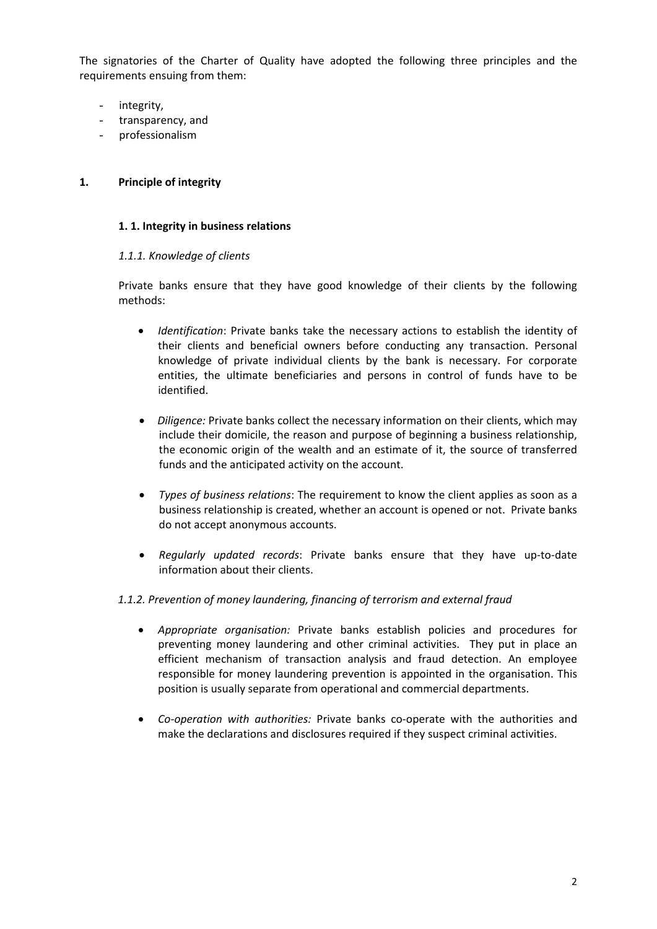The signatories of the Charter of Quality have adopted the following three principles and the requirements ensuing from them:

- integrity,
- transparency, and
- professionalism

### **1. Principle of integrity**

### **1. 1. Integrity in business relations**

### *1.1.1. Knowledge of clients*

Private banks ensure that they have good knowledge of their clients by the following methods:

- *Identification*: Private banks take the necessary actions to establish the identity of their clients and beneficial owners before conducting any transaction. Personal knowledge of private individual clients by the bank is necessary. For corporate entities, the ultimate beneficiaries and persons in control of funds have to be identified.
- *Diligence:* Private banks collect the necessary information on their clients, which may include their domicile, the reason and purpose of beginning a business relationship, the economic origin of the wealth and an estimate of it, the source of transferred funds and the anticipated activity on the account.
- *Types of business relations*: The requirement to know the client applies as soon as a business relationship is created, whether an account is opened or not. Private banks do not accept anonymous accounts.
- *Regularly updated records*: Private banks ensure that they have up‐to‐date information about their clients.

### *1.1.2. Prevention of money laundering, financing of terrorism and external fraud*

- *Appropriate organisation:* Private banks establish policies and procedures for preventing money laundering and other criminal activities. They put in place an efficient mechanism of transaction analysis and fraud detection. An employee responsible for money laundering prevention is appointed in the organisation. This position is usually separate from operational and commercial departments.
- *Co‐operation with authorities:* Private banks co‐operate with the authorities and make the declarations and disclosures required if they suspect criminal activities.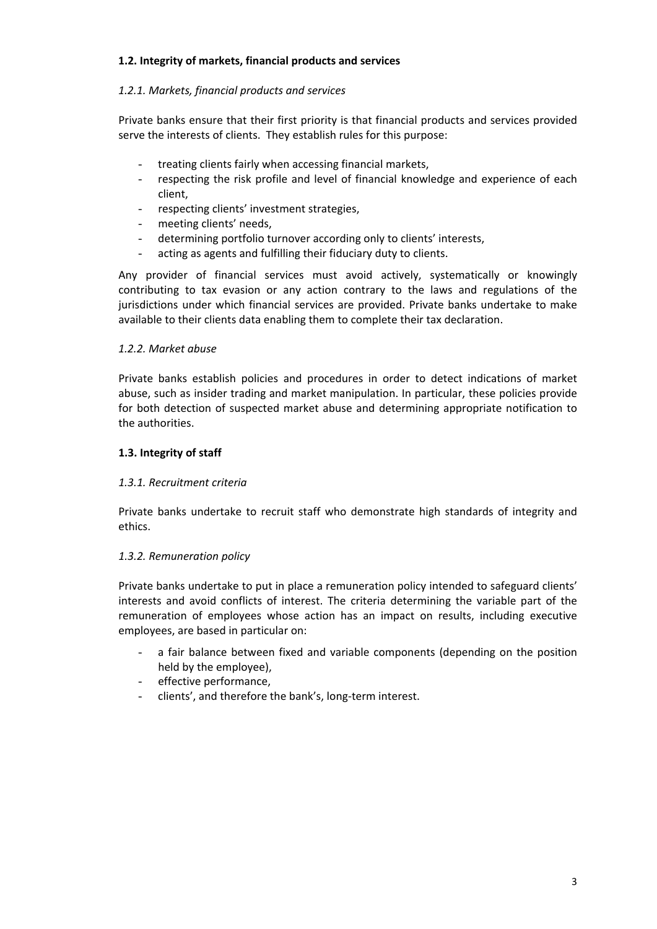## **1.2. Integrity of markets, financial products and services**

## *1.2.1. Markets, financial products and services*

Private banks ensure that their first priority is that financial products and services provided serve the interests of clients. They establish rules for this purpose:

- treating clients fairly when accessing financial markets,
- respecting the risk profile and level of financial knowledge and experience of each client,
- respecting clients' investment strategies,
- meeting clients' needs,
- determining portfolio turnover according only to clients' interests,
- acting as agents and fulfilling their fiduciary duty to clients.

Any provider of financial services must avoid actively, systematically or knowingly contributing to tax evasion or any action contrary to the laws and regulations of the jurisdictions under which financial services are provided. Private banks undertake to make available to their clients data enabling them to complete their tax declaration.

### *1.2.2. Market abuse*

Private banks establish policies and procedures in order to detect indications of market abuse, such as insider trading and market manipulation. In particular, these policies provide for both detection of suspected market abuse and determining appropriate notification to the authorities.

### **1.3. Integrity of staff**

### *1.3.1. Recruitment criteria*

Private banks undertake to recruit staff who demonstrate high standards of integrity and ethics.

### *1.3.2. Remuneration policy*

Private banks undertake to put in place a remuneration policy intended to safeguard clients' interests and avoid conflicts of interest. The criteria determining the variable part of the remuneration of employees whose action has an impact on results, including executive employees, are based in particular on:

- a fair balance between fixed and variable components (depending on the position held by the employee),
- effective performance,
- clients', and therefore the bank's, long-term interest.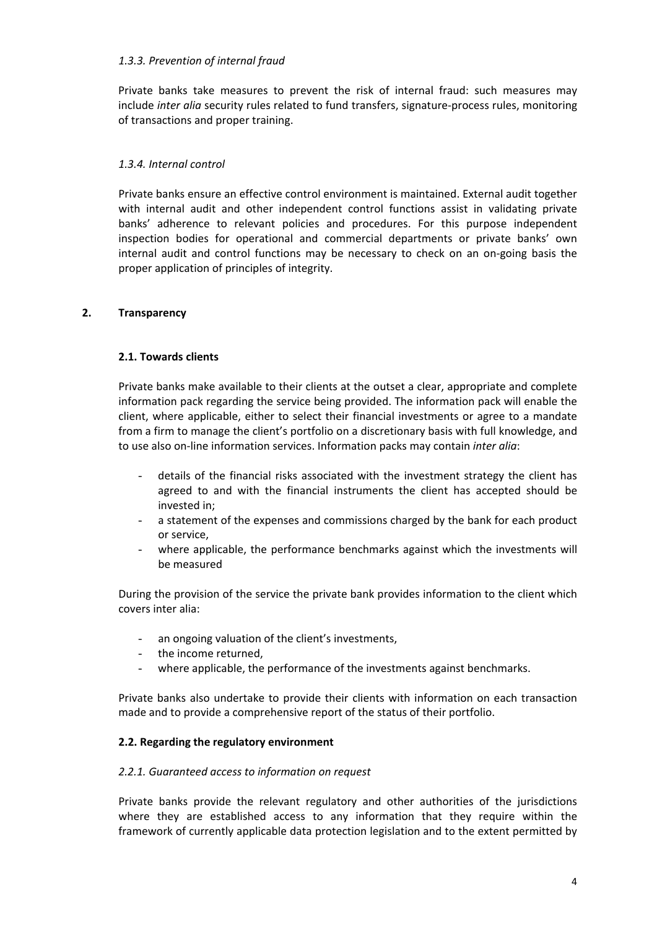### *1.3.3. Prevention of internal fraud*

 Private banks take measures to prevent the risk of internal fraud: such measures may include *inter alia* security rules related to fund transfers, signature‐process rules, monitoring of transactions and proper training.

# *1.3.4. Internal control*

Private banks ensure an effective control environment is maintained. External audit together with internal audit and other independent control functions assist in validating private banks' adherence to relevant policies and procedures. For this purpose independent inspection bodies for operational and commercial departments or private banks' own internal audit and control functions may be necessary to check on an on‐going basis the proper application of principles of integrity.

# **2. Transparency**

# **2.1. Towards clients**

Private banks make available to their clients at the outset a clear, appropriate and complete information pack regarding the service being provided. The information pack will enable the client, where applicable, either to select their financial investments or agree to a mandate from a firm to manage the client's portfolio on a discretionary basis with full knowledge, and to use also on‐line information services. Information packs may contain *inter alia*:

- details of the financial risks associated with the investment strategy the client has agreed to and with the financial instruments the client has accepted should be invested in;
- a statement of the expenses and commissions charged by the bank for each product or service,
- where applicable, the performance benchmarks against which the investments will be measured

During the provision of the service the private bank provides information to the client which covers inter alia:

- an ongoing valuation of the client's investments,
- the income returned,
- where applicable, the performance of the investments against benchmarks.

Private banks also undertake to provide their clients with information on each transaction made and to provide a comprehensive report of the status of their portfolio.

# **2.2. Regarding the regulatory environment**

# *2.2.1. Guaranteed access to information on request*

Private banks provide the relevant regulatory and other authorities of the jurisdictions where they are established access to any information that they require within the framework of currently applicable data protection legislation and to the extent permitted by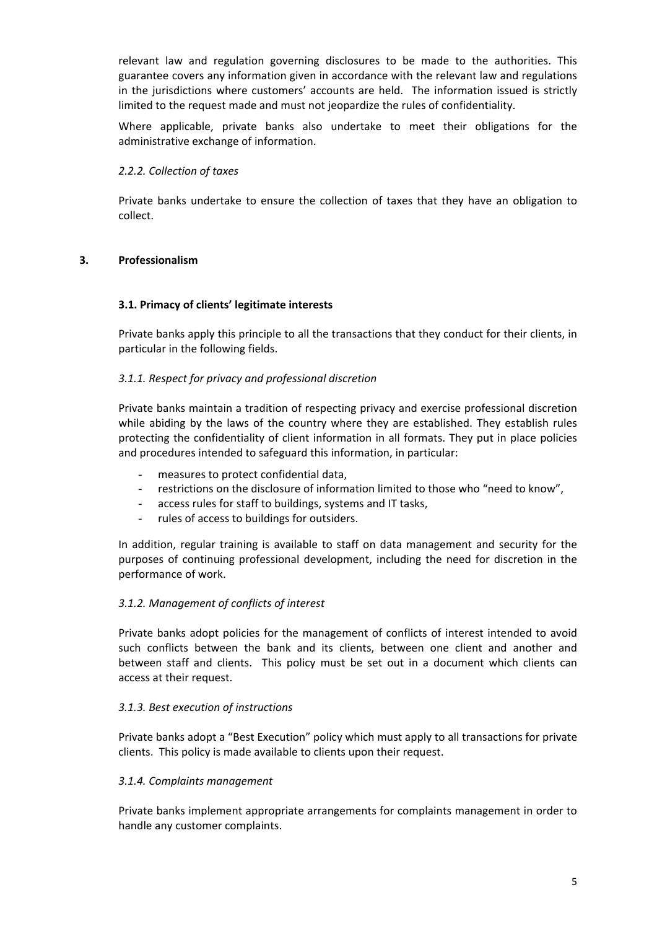relevant law and regulation governing disclosures to be made to the authorities. This guarantee covers any information given in accordance with the relevant law and regulations in the jurisdictions where customers' accounts are held. The information issued is strictly limited to the request made and must not jeopardize the rules of confidentiality.

Where applicable, private banks also undertake to meet their obligations for the administrative exchange of information.

### *2.2.2. Collection of taxes*

Private banks undertake to ensure the collection of taxes that they have an obligation to collect.

### **3. Professionalism**

### **3.1. Primacy of clients' legitimate interests**

Private banks apply this principle to all the transactions that they conduct for their clients, in particular in the following fields.

### *3.1.1. Respect for privacy and professional discretion*

Private banks maintain a tradition of respecting privacy and exercise professional discretion while abiding by the laws of the country where they are established. They establish rules protecting the confidentiality of client information in all formats. They put in place policies and procedures intended to safeguard this information, in particular:

- measures to protect confidential data,
- restrictions on the disclosure of information limited to those who "need to know",
- access rules for staff to buildings, systems and IT tasks,
- rules of access to buildings for outsiders.

In addition, regular training is available to staff on data management and security for the purposes of continuing professional development, including the need for discretion in the performance of work.

### *3.1.2. Management of conflicts of interest*

Private banks adopt policies for the management of conflicts of interest intended to avoid such conflicts between the bank and its clients, between one client and another and between staff and clients. This policy must be set out in a document which clients can access at their request.

### *3.1.3. Best execution of instructions*

Private banks adopt a "Best Execution" policy which must apply to all transactions for private clients. This policy is made available to clients upon their request.

### *3.1.4. Complaints management*

Private banks implement appropriate arrangements for complaints management in order to handle any customer complaints.